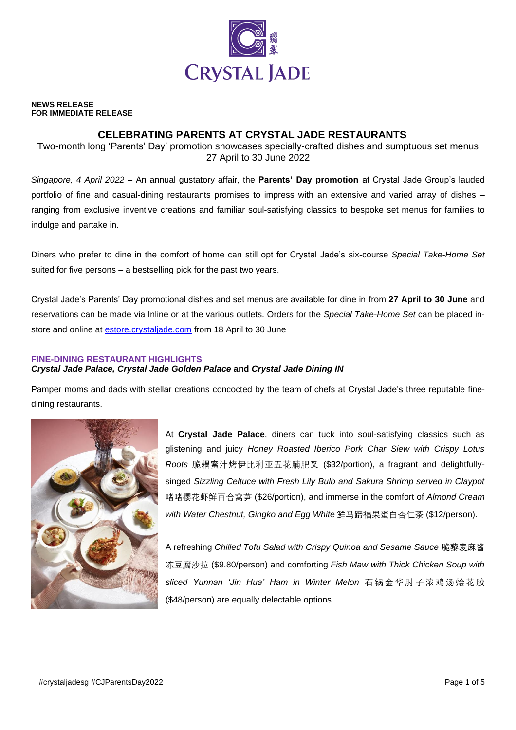

#### **NEWS RELEASE FOR IMMEDIATE RELEASE**

# **CELEBRATING PARENTS AT CRYSTAL JADE RESTAURANTS**

Two-month long 'Parents' Day' promotion showcases specially-crafted dishes and sumptuous set menus 27 April to 30 June 2022

*Singapore, 4 April 2022* – An annual gustatory affair, the **Parents' Day promotion** at Crystal Jade Group's lauded portfolio of fine and casual-dining restaurants promises to impress with an extensive and varied array of dishes – ranging from exclusive inventive creations and familiar soul-satisfying classics to bespoke set menus for families to indulge and partake in.

Diners who prefer to dine in the comfort of home can still opt for Crystal Jade's six-course *Special Take-Home Set* suited for five persons – a bestselling pick for the past two years.

Crystal Jade's Parents' Day promotional dishes and set menus are available for dine in from **27 April to 30 June** and reservations can be made via Inline or at the various outlets. Orders for the *Special Take-Home Set* can be placed instore and online at [estore.crystaljade.com](http://www.crystaljade.com.sg/eshop) from 18 April to 30 June

## **FINE-DINING RESTAURANT HIGHLIGHTS**

### *Crystal Jade Palace, Crystal Jade Golden Palace* **and** *Crystal Jade Dining IN*

Pamper moms and dads with stellar creations concocted by the team of chefs at Crystal Jade's three reputable finedining restaurants.



At **Crystal Jade Palace**, diners can tuck into soul-satisfying classics such as glistening and juicy *Honey Roasted Iberico Pork Char Siew with Crispy Lotus Roots* 脆耦蜜汁烤伊比利亚五花腩肥叉 (\$32/portion), a fragrant and delightfullysinged *Sizzling Celtuce with Fresh Lily Bulb and Sakura Shrimp served in Claypot* 啫啫樱花虾鲜百合窝芛 (\$26/portion), and immerse in the comfort of *Almond Cream with Water Chestnut, Gingko and Egg White* 鲜马蹄福果蛋白杏仁茶 (\$12/person).

A refreshing *Chilled Tofu Salad with Crispy Quinoa and Sesame Sauce* 脆藜麦麻酱 冻豆腐沙拉 (\$9.80/person) and comforting *Fish Maw with Thick Chicken Soup with sliced Yunnan 'Jin Hua' Ham in Winter Melon* 石 锅 金 华 肘 子 浓 鸡 汤 烩 花 胶 (\$48/person) are equally delectable options.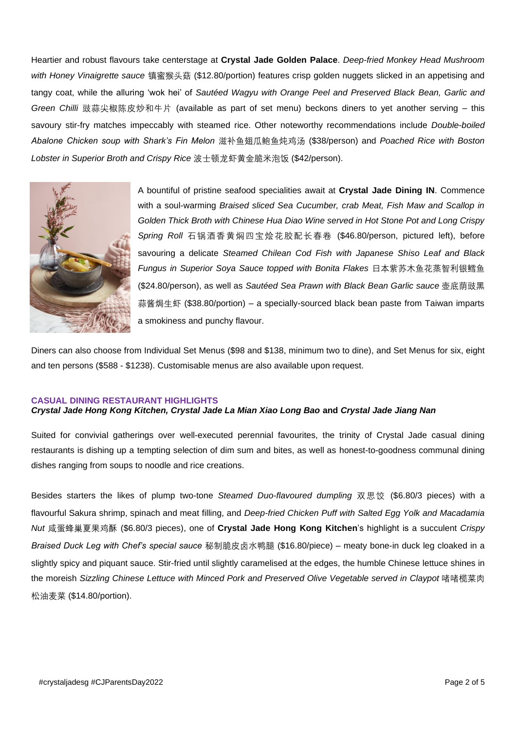Heartier and robust flavours take centerstage at **Crystal Jade Golden Palace**. *Deep-fried Monkey Head Mushroom with Honey Vinaigrette sauce* 镇蜜猴头菇 (\$12.80/portion) features crisp golden nuggets slicked in an appetising and tangy coat, while the alluring 'wok hei' of *Sautéed Wagyu with Orange Peel and Preserved Black Bean, Garlic and Green Chilli* 豉蒜尖椒陈皮炒和牛片 (available as part of set menu) beckons diners to yet another serving – this savoury stir-fry matches impeccably with steamed rice. Other noteworthy recommendations include *Double-boiled Abalone Chicken soup with Shark's Fin Melon* 滋补鱼翅瓜鲍鱼炖鸡汤 (\$38/person) and *Poached Rice with Boston Lobster in Superior Broth and Crispy Rice* 波士顿龙虾黄金脆米泡饭 (\$42/person).



A bountiful of pristine seafood specialities await at **Crystal Jade Dining IN**. Commence with a soul-warming *Braised sliced Sea Cucumber, crab Meat, Fish Maw and Scallop in Golden Thick Broth with Chinese Hua Diao Wine served in Hot Stone Pot and Long Crispy Spring Roll* 石锅酒香黄焖四宝烩花胶配长春卷 (\$46.80/person, pictured left), before savouring a delicate *Steamed Chilean Cod Fish with Japanese Shiso Leaf and Black Fungus in Superior Soya Sauce topped with Bonita Flakes* 日本紫苏木鱼花蒸智利银鳕鱼 (\$24.80/person), as well as *Sautéed Sea Prawn with Black Bean Garlic sauce* 壶底荫豉黑 蒜酱焗生虾 (\$38.80/portion) – a specially-sourced black bean paste from Taiwan imparts a smokiness and punchy flavour.

Diners can also choose from Individual Set Menus (\$98 and \$138, minimum two to dine), and Set Menus for six, eight and ten persons (\$588 - \$1238). Customisable menus are also available upon request.

#### **CASUAL DINING RESTAURANT HIGHLIGHTS**

#### *Crystal Jade Hong Kong Kitchen, Crystal Jade La Mian Xiao Long Bao* **and** *Crystal Jade Jiang Nan*

Suited for convivial gatherings over well-executed perennial favourites, the trinity of Crystal Jade casual dining restaurants is dishing up a tempting selection of dim sum and bites, as well as honest-to-goodness communal dining dishes ranging from soups to noodle and rice creations.

Besides starters the likes of plump two-tone *Steamed Duo-flavoured dumpling* 双思饺 (\$6.80/3 pieces) with a flavourful Sakura shrimp, spinach and meat filling, and *Deep-fried Chicken Puff with Salted Egg Yolk and Macadamia Nut* 咸蛋蜂巢夏果鸡酥 (\$6.80/3 pieces), one of **Crystal Jade Hong Kong Kitchen**'s highlight is a succulent *Crispy Braised Duck Leg with Chef's special sauce* 秘制脆皮卤水鸭腿 (\$16.80/piece) – meaty bone-in duck leg cloaked in a slightly spicy and piquant sauce. Stir-fried until slightly caramelised at the edges, the humble Chinese lettuce shines in the moreish Sizzling Chinese Lettuce with Minced Pork and Preserved Olive Vegetable served in Claypot 啫啫榄菜肉 松油麦菜 (\$14.80/portion).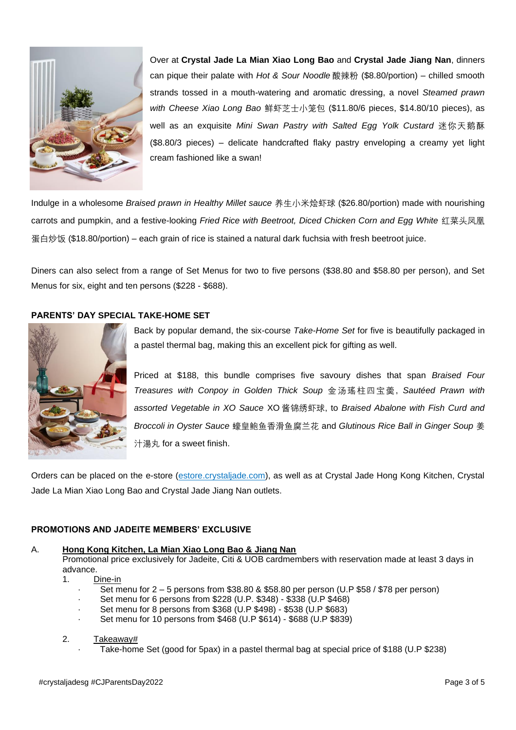

Over at **Crystal Jade La Mian Xiao Long Bao** and **Crystal Jade Jiang Nan**, dinners can pique their palate with *Hot & Sour Noodle* 酸辣粉 (\$8.80/portion) – chilled smooth strands tossed in a mouth-watering and aromatic dressing, a novel *Steamed prawn with Cheese Xiao Long Bao* 鲜虾芝士小笼包 (\$11.80/6 pieces, \$14.80/10 pieces), as well as an exquisite *Mini Swan Pastry with Salted Egg Yolk Custard* 迷你天鹅酥 (\$8.80/3 pieces) – delicate handcrafted flaky pastry enveloping a creamy yet light cream fashioned like a swan!

Indulge in a wholesome *Braised prawn in Healthy Millet sauce* 养生小米烩虾球 (\$26.80/portion) made with nourishing carrots and pumpkin, and a festive-looking *Fried Rice with Beetroot, Diced Chicken Corn and Egg White* 红菜头凤凰 蛋白炒饭 (\$18.80/portion) – each grain of rice is stained a natural dark fuchsia with fresh beetroot juice.

Diners can also select from a range of Set Menus for two to five persons (\$38.80 and \$58.80 per person), and Set Menus for six, eight and ten persons (\$228 - \$688).

## **PARENTS' DAY SPECIAL TAKE-HOME SET**



Back by popular demand, the six-course *Take-Home Set* for five is beautifully packaged in a pastel thermal bag, making this an excellent pick for gifting as well.

Priced at \$188, this bundle comprises five savoury dishes that span *Braised Four Treasures with Conpoy in Golden Thick Soup* 金汤瑤柱四宝羮, *Sautéed Prawn with assorted Vegetable in XO Sauce* XO 酱锦绣虾球, to *Braised Abalone with Fish Curd and Broccoli in Oyster Sauce* 蠔皇鲍鱼香滑鱼腐兰花 and *Glutinous Rice Ball in Ginger Soup* 姜 汁湯丸 for a sweet finish.

Orders can be placed on the e-store [\(estore.crystaljade.com\)](https://estore.crystaljade.com/), as well as at Crystal Jade Hong Kong Kitchen, Crystal Jade La Mian Xiao Long Bao and Crystal Jade Jiang Nan outlets.

## **PROMOTIONS AND JADEITE MEMBERS' EXCLUSIVE**

## A. **Hong Kong Kitchen, La Mian Xiao Long Bao & Jiang Nan**

Promotional price exclusively for Jadeite, Citi & UOB cardmembers with reservation made at least 3 days in advance.

- 1. Dine-in
	- · Set menu for 2 5 persons from \$38.80 & \$58.80 per person (U.P \$58 / \$78 per person)
	- · Set menu for 6 persons from \$228 (U.P. \$348) \$338 (U.P \$468)
	- · Set menu for 8 persons from \$368 (U.P \$498) \$538 (U.P \$683)
	- Set menu for 10 persons from \$468 (U.P \$614) \$688 (U.P \$839)

#### 2. Takeaway#

Take-home Set (good for 5pax) in a pastel thermal bag at special price of \$188 (U.P \$238)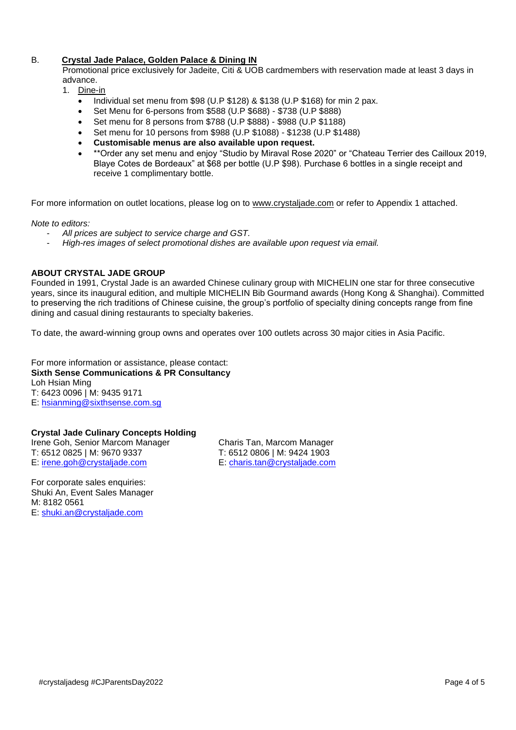## B. **Crystal Jade Palace, Golden Palace & Dining IN**

Promotional price exclusively for Jadeite, Citi & UOB cardmembers with reservation made at least 3 days in advance.

- 1. Dine-in
	- Individual set menu from \$98 (U.P \$128) & \$138 (U.P \$168) for min 2 pax.
	- Set Menu for 6-persons from \$588 (U.P \$688) \$738 (U.P \$888)
	- Set menu for 8 persons from \$788 (U.P \$888) \$988 (U.P \$1188)
	- Set menu for 10 persons from \$988 (U.P \$1088) \$1238 (U.P \$1488)
	- **Customisable menus are also available upon request.**
	- \*\*Order any set menu and enjoy "Studio by Miraval Rose 2020" or "Chateau Terrier des Cailloux 2019, Blaye Cotes de Bordeaux" at \$68 per bottle (U.P \$98). Purchase 6 bottles in a single receipt and receive 1 complimentary bottle.

For more information on outlet locations, please log on to [www.crystaljade.com](http://www.crystaljade.com/) or refer to Appendix 1 attached.

*Note to editors:* 

- *All prices are subject to service charge and GST.*
- *High-res images of select promotional dishes are available upon request via email.*

#### **ABOUT CRYSTAL JADE GROUP**

Founded in 1991, Crystal Jade is an awarded Chinese culinary group with MICHELIN one star for three consecutive years, since its inaugural edition, and multiple MICHELIN Bib Gourmand awards (Hong Kong & Shanghai). Committed to preserving the rich traditions of Chinese cuisine, the group's portfolio of specialty dining concepts range from fine dining and casual dining restaurants to specialty bakeries.

To date, the award-winning group owns and operates over 100 outlets across 30 major cities in Asia Pacific.

For more information or assistance, please contact: **Sixth Sense Communications & PR Consultancy** Loh Hsian Ming T: 6423 0096 | M: 9435 9171 E: [hsianming@sixthsense.com.sg](mailto:hsianming@sixthsense.com.sg)

#### **Crystal Jade Culinary Concepts Holding**

T: 6512 0825 | M: 9670 9337 T: 6512 0806 | M: 9424 1903 E: [irene.goh@crystaljade.com](mailto:irene.goh@crystaljade.com) E: [charis.tan@crystaljade.com](mailto:charis.tan@crystaljade.com)

Irene Goh, Senior Marcom Manager Charis Tan, Marcom Manager

For corporate sales enquiries: Shuki An, Event Sales Manager M: 8182 0561 E: [shuki.an@crystaljade.com](mailto:shuki.an@crystaljade.com)